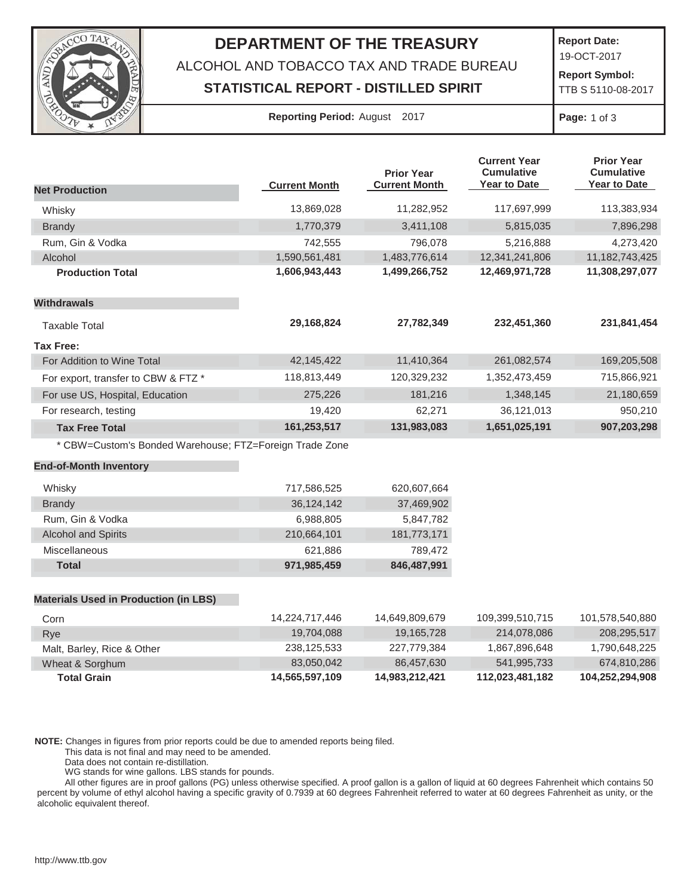

## **DEPARTMENT OF THE TREASURY**

ALCOHOL AND TOBACCO TAX AND TRADE BUREAU

## **STATISTICAL REPORT - DISTILLED SPIRIT**

**Report Date:**

19-OCT-2017

**Report Symbol:** TTB S 5110-08-2017

| <b>Reporting Period: August 2017</b> |  |  |
|--------------------------------------|--|--|
|--------------------------------------|--|--|

**Page:** 1 of 3

|                                                         | <b>Current Month</b> | <b>Prior Year</b><br><b>Current Month</b> | <b>Current Year</b><br><b>Cumulative</b><br><b>Year to Date</b> | <b>Prior Year</b><br><b>Cumulative</b><br>Year to Date |
|---------------------------------------------------------|----------------------|-------------------------------------------|-----------------------------------------------------------------|--------------------------------------------------------|
| <b>Net Production</b>                                   |                      |                                           |                                                                 |                                                        |
| Whisky                                                  | 13,869,028           | 11,282,952                                | 117,697,999                                                     | 113,383,934                                            |
| <b>Brandy</b>                                           | 1,770,379            | 3,411,108                                 | 5,815,035                                                       | 7,896,298                                              |
| Rum, Gin & Vodka                                        | 742,555              | 796,078                                   | 5,216,888                                                       | 4,273,420                                              |
| Alcohol                                                 | 1,590,561,481        | 1,483,776,614                             | 12,341,241,806                                                  | 11, 182, 743, 425                                      |
| <b>Production Total</b>                                 | 1,606,943,443        | 1,499,266,752                             | 12,469,971,728                                                  | 11,308,297,077                                         |
| <b>Withdrawals</b>                                      |                      |                                           |                                                                 |                                                        |
| <b>Taxable Total</b>                                    | 29,168,824           | 27,782,349                                | 232,451,360                                                     | 231,841,454                                            |
| <b>Tax Free:</b>                                        |                      |                                           |                                                                 |                                                        |
| For Addition to Wine Total                              | 42,145,422           | 11,410,364                                | 261,082,574                                                     | 169,205,508                                            |
| For export, transfer to CBW & FTZ *                     | 118,813,449          | 120,329,232                               | 1,352,473,459                                                   | 715,866,921                                            |
| For use US, Hospital, Education                         | 275,226              | 181,216                                   | 1,348,145                                                       | 21,180,659                                             |
| For research, testing                                   | 19,420               | 62,271                                    | 36,121,013                                                      | 950,210                                                |
| <b>Tax Free Total</b>                                   | 161,253,517          | 131,983,083                               | 1,651,025,191                                                   | 907,203,298                                            |
| * CBW=Custom's Bonded Warehouse; FTZ=Foreign Trade Zone |                      |                                           |                                                                 |                                                        |
| <b>End-of-Month Inventory</b>                           |                      |                                           |                                                                 |                                                        |
| Whisky                                                  | 717,586,525          | 620,607,664                               |                                                                 |                                                        |
| <b>Brandy</b>                                           | 36,124,142           | 37,469,902                                |                                                                 |                                                        |
| Rum, Gin & Vodka                                        | 6,988,805            | 5,847,782                                 |                                                                 |                                                        |
| <b>Alcohol and Spirits</b>                              | 210,664,101          | 181,773,171                               |                                                                 |                                                        |
| Miscellaneous                                           | 621,886              | 789,472                                   |                                                                 |                                                        |
| <b>Total</b>                                            | 971,985,459          | 846,487,991                               |                                                                 |                                                        |
| <b>Materials Used in Production (in LBS)</b>            |                      |                                           |                                                                 |                                                        |
| Corn                                                    | 14,224,717,446       | 14,649,809,679                            | 109,399,510,715                                                 | 101,578,540,880                                        |
| Rye                                                     | 19,704,088           | 19,165,728                                | 214,078,086                                                     | 208,295,517                                            |

| <b>Total Grain</b>         | 14,565,597,109 | 14,983,212,421 | 112.023.481.182 | 104,252,294,908 |
|----------------------------|----------------|----------------|-----------------|-----------------|
| Wheat & Sorghum            | 83.050.042     | 86.457.630     | 541.995.733     | 674,810,286     |
| Malt, Barley, Rice & Other | 238.125.533    | 227.779.384    | 1.867.896.648   | 1.790.648.225   |
| Rve                        | 19.704.088     | 19.165.728     | 214.078.086     | 208,295,517     |

**NOTE:** Changes in figures from prior reports could be due to amended reports being filed.

This data is not final and may need to be amended.

Data does not contain re-distillation.

WG stands for wine gallons. LBS stands for pounds.

All other figures are in proof gallons (PG) unless otherwise specified. A proof gallon is a gallon of liquid at 60 degrees Fahrenheit which contains 50 percent by volume of ethyl alcohol having a specific gravity of 0.7939 at 60 degrees Fahrenheit referred to water at 60 degrees Fahrenheit as unity, or the alcoholic equivalent thereof.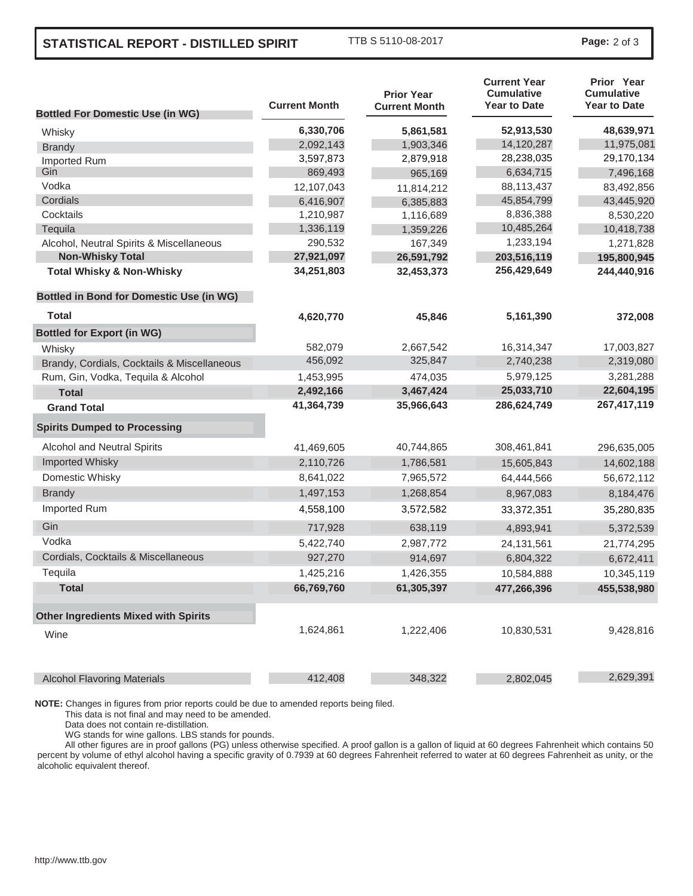## **STATISTICAL REPORT - DISTILLED SPIRIT** TTB S 5110-08-2017 **Page:** <sup>2</sup> of 3

| <b>Bottled For Domestic Use (in WG)</b>         | <b>Current Month</b> | <b>Prior Year</b><br><b>Current Month</b> | <b>Current Year</b><br><b>Cumulative</b><br><b>Year to Date</b> | Prior Year<br><b>Cumulative</b><br><b>Year to Date</b> |
|-------------------------------------------------|----------------------|-------------------------------------------|-----------------------------------------------------------------|--------------------------------------------------------|
| Whisky                                          | 6,330,706            | 5,861,581                                 | 52,913,530                                                      | 48,639,971                                             |
| <b>Brandy</b>                                   | 2,092,143            | 1,903,346                                 | 14,120,287                                                      | 11,975,081                                             |
| Imported Rum                                    | 3,597,873            | 2,879,918                                 | 28,238,035                                                      | 29,170,134                                             |
| Gin                                             | 869,493              | 965,169                                   | 6,634,715                                                       | 7,496,168                                              |
| Vodka                                           | 12,107,043           | 11,814,212                                | 88,113,437                                                      | 83,492,856                                             |
| Cordials                                        | 6,416,907            | 6,385,883                                 | 45,854,799                                                      | 43,445,920                                             |
| Cocktails                                       | 1,210,987            | 1,116,689                                 | 8,836,388                                                       | 8,530,220                                              |
| Tequila                                         | 1,336,119            | 1,359,226                                 | 10,485,264                                                      | 10,418,738                                             |
| Alcohol, Neutral Spirits & Miscellaneous        | 290,532              | 167,349                                   | 1,233,194                                                       | 1,271,828                                              |
| <b>Non-Whisky Total</b>                         | 27,921,097           | 26,591,792                                | 203,516,119                                                     | 195,800,945                                            |
| <b>Total Whisky &amp; Non-Whisky</b>            | 34,251,803           | 32,453,373                                | 256,429,649                                                     | 244,440,916                                            |
| <b>Bottled in Bond for Domestic Use (in WG)</b> |                      |                                           |                                                                 |                                                        |
| <b>Total</b>                                    | 4,620,770            | 45,846                                    | 5,161,390                                                       | 372,008                                                |
| <b>Bottled for Export (in WG)</b>               |                      |                                           |                                                                 |                                                        |
| Whisky                                          | 582,079              | 2,667,542                                 | 16,314,347                                                      | 17,003,827                                             |
| Brandy, Cordials, Cocktails & Miscellaneous     | 456,092              | 325,847                                   | 2,740,238                                                       | 2,319,080                                              |
| Rum, Gin, Vodka, Tequila & Alcohol              | 1,453,995            | 474,035                                   | 5,979,125                                                       | 3,281,288                                              |
| <b>Total</b>                                    | 2,492,166            | 3,467,424                                 | 25,033,710                                                      | 22,604,195                                             |
| <b>Grand Total</b>                              | 41,364,739           | 35,966,643                                | 286,624,749                                                     | 267,417,119                                            |
| <b>Spirits Dumped to Processing</b>             |                      |                                           |                                                                 |                                                        |
| Alcohol and Neutral Spirits                     | 41,469,605           | 40,744,865                                | 308,461,841                                                     | 296,635,005                                            |
| Imported Whisky                                 | 2,110,726            | 1,786,581                                 | 15,605,843                                                      | 14,602,188                                             |
| Domestic Whisky                                 | 8,641,022            | 7,965,572                                 | 64,444,566                                                      | 56,672,112                                             |
| <b>Brandy</b>                                   | 1,497,153            | 1,268,854                                 | 8,967,083                                                       | 8,184,476                                              |
| Imported Rum                                    | 4,558,100            | 3,572,582                                 | 33,372,351                                                      | 35,280,835                                             |
| Gin                                             | 717,928              | 638,119                                   | 4,893,941                                                       | 5,372,539                                              |
| Vodka                                           | 5,422,740            | 2,987,772                                 | 24, 131, 561                                                    | 21,774,295                                             |
| Cordials, Cocktails & Miscellaneous             | 927,270              | 914,697                                   | 6,804,322                                                       | 6,672,411                                              |
| Tequila                                         | 1,425,216            | 1,426,355                                 | 10,584,888                                                      | 10,345,119                                             |
| <b>Total</b>                                    | 66,769,760           | 61,305,397                                | 477,266,396                                                     | 455,538,980                                            |
| <b>Other Ingredients Mixed with Spirits</b>     |                      |                                           |                                                                 |                                                        |
| Wine                                            | 1,624,861            | 1,222,406                                 | 10,830,531                                                      | 9,428,816                                              |
| <b>Alcohol Flavoring Materials</b>              | 412,408              | 348,322                                   | 2,802,045                                                       | 2,629,391                                              |

**NOTE:** Changes in figures from prior reports could be due to amended reports being filed.

This data is not final and may need to be amended.

Data does not contain re-distillation.

WG stands for wine gallons. LBS stands for pounds.

All other figures are in proof gallons (PG) unless otherwise specified. A proof gallon is a gallon of liquid at 60 degrees Fahrenheit which contains 50 percent by volume of ethyl alcohol having a specific gravity of 0.7939 at 60 degrees Fahrenheit referred to water at 60 degrees Fahrenheit as unity, or the alcoholic equivalent thereof.